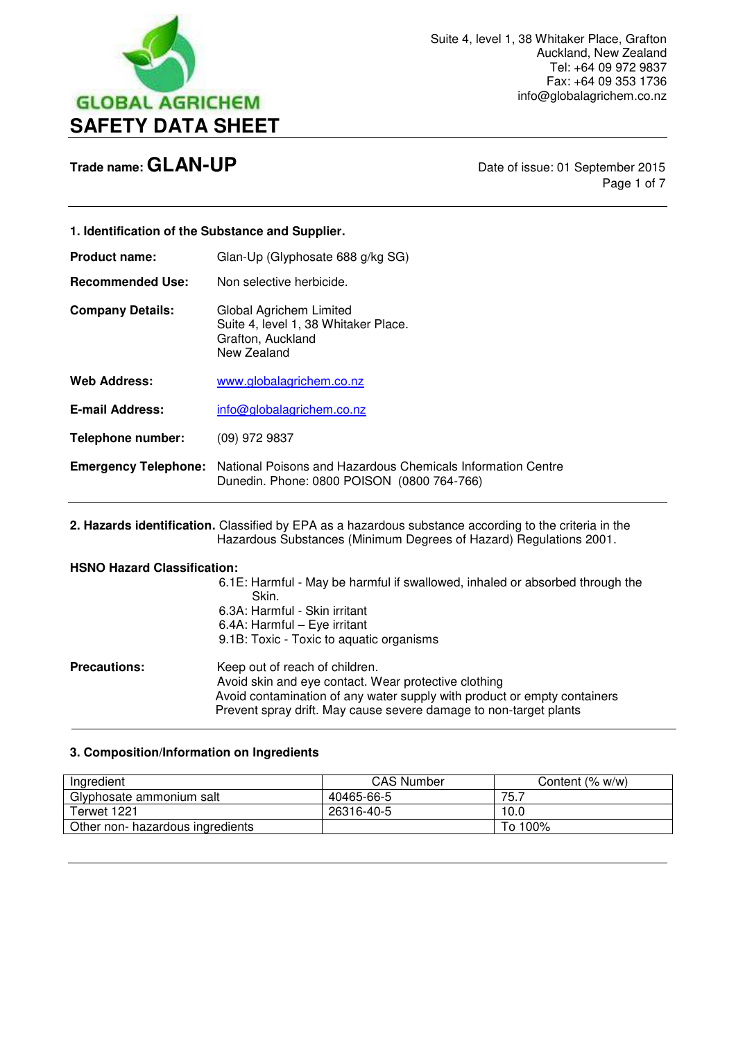

Page 1 of 7

| 1. Identification of the Substance and Supplier.                                                                                                                             |                                                                                                                                                                                                                                         |  |
|------------------------------------------------------------------------------------------------------------------------------------------------------------------------------|-----------------------------------------------------------------------------------------------------------------------------------------------------------------------------------------------------------------------------------------|--|
| <b>Product name:</b>                                                                                                                                                         | Glan-Up (Glyphosate 688 g/kg SG)                                                                                                                                                                                                        |  |
| <b>Recommended Use:</b>                                                                                                                                                      | Non selective herbicide.                                                                                                                                                                                                                |  |
| <b>Company Details:</b>                                                                                                                                                      | Global Agrichem Limited<br>Suite 4, level 1, 38 Whitaker Place.<br>Grafton, Auckland<br>New Zealand                                                                                                                                     |  |
| <b>Web Address:</b>                                                                                                                                                          | www.globalagrichem.co.nz                                                                                                                                                                                                                |  |
| <b>E-mail Address:</b>                                                                                                                                                       | info@globalagrichem.co.nz                                                                                                                                                                                                               |  |
| <b>Telephone number:</b>                                                                                                                                                     | (09) 972 9837                                                                                                                                                                                                                           |  |
|                                                                                                                                                                              | <b>Emergency Telephone:</b> National Poisons and Hazardous Chemicals Information Centre<br>Dunedin. Phone: 0800 POISON (0800 764-766)                                                                                                   |  |
| 2. Hazards identification. Classified by EPA as a hazardous substance according to the criteria in the<br>Hazardous Substances (Minimum Degrees of Hazard) Regulations 2001. |                                                                                                                                                                                                                                         |  |
| <b>HSNO Hazard Classification:</b>                                                                                                                                           | 6.1E: Harmful - May be harmful if swallowed, inhaled or absorbed through the<br>Skin.<br>6.3A: Harmful - Skin irritant<br>6.4A: Harmful - Eye irritant<br>9.1B: Toxic - Toxic to aquatic organisms                                      |  |
| <b>Precautions:</b>                                                                                                                                                          | Keep out of reach of children.<br>Avoid skin and eye contact. Wear protective clothing<br>Avoid contamination of any water supply with product or empty containers<br>Prevent spray drift. May cause severe damage to non-target plants |  |

# **3. Composition/Information on Ingredients**

| <b>CAS Number</b> | Content $(% w/w)$ |
|-------------------|-------------------|
| 40465-66-5        | 75.7              |
| 26316-40-5        | 10.0              |
|                   | To 100%           |
|                   |                   |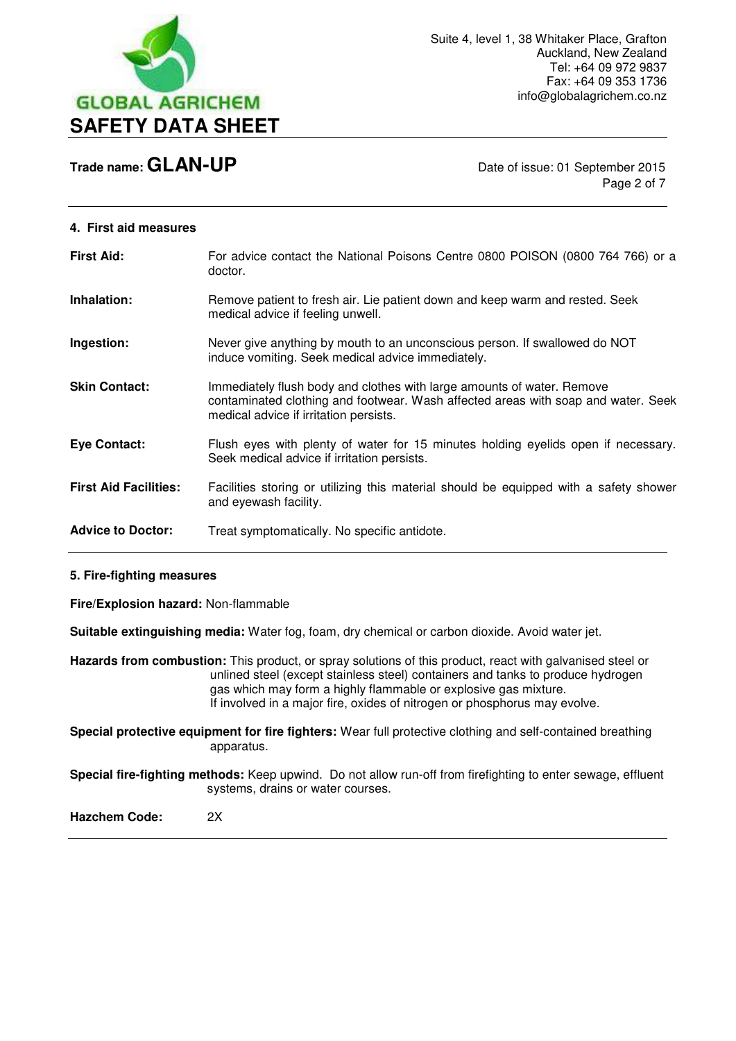

Page 2 of 7

#### **4. First aid measures**

| <b>First Aid:</b>            | For advice contact the National Poisons Centre 0800 POISON (0800 764 766) or a<br>doctor.                                                                                                             |
|------------------------------|-------------------------------------------------------------------------------------------------------------------------------------------------------------------------------------------------------|
| Inhalation:                  | Remove patient to fresh air. Lie patient down and keep warm and rested. Seek<br>medical advice if feeling unwell.                                                                                     |
| Ingestion:                   | Never give anything by mouth to an unconscious person. If swallowed do NOT<br>induce vomiting. Seek medical advice immediately.                                                                       |
| <b>Skin Contact:</b>         | Immediately flush body and clothes with large amounts of water. Remove<br>contaminated clothing and footwear. Wash affected areas with soap and water. Seek<br>medical advice if irritation persists. |
| Eye Contact:                 | Flush eyes with plenty of water for 15 minutes holding eyelids open if necessary.<br>Seek medical advice if irritation persists.                                                                      |
| <b>First Aid Facilities:</b> | Facilities storing or utilizing this material should be equipped with a safety shower<br>and eyewash facility.                                                                                        |
| <b>Advice to Doctor:</b>     | Treat symptomatically. No specific antidote.                                                                                                                                                          |

#### **5. Fire-fighting measures**

**Fire/Explosion hazard:** Non-flammable

**Suitable extinguishing media:** Water fog, foam, dry chemical or carbon dioxide. Avoid water jet.

**Hazards from combustion:** This product, or spray solutions of this product, react with galvanised steel or unlined steel (except stainless steel) containers and tanks to produce hydrogen gas which may form a highly flammable or explosive gas mixture. If involved in a major fire, oxides of nitrogen or phosphorus may evolve.

**Special protective equipment for fire fighters:** Wear full protective clothing and self-contained breathing apparatus.

**Special fire-fighting methods:** Keep upwind. Do not allow run-off from firefighting to enter sewage, effluent systems, drains or water courses.

**Hazchem Code:** 2X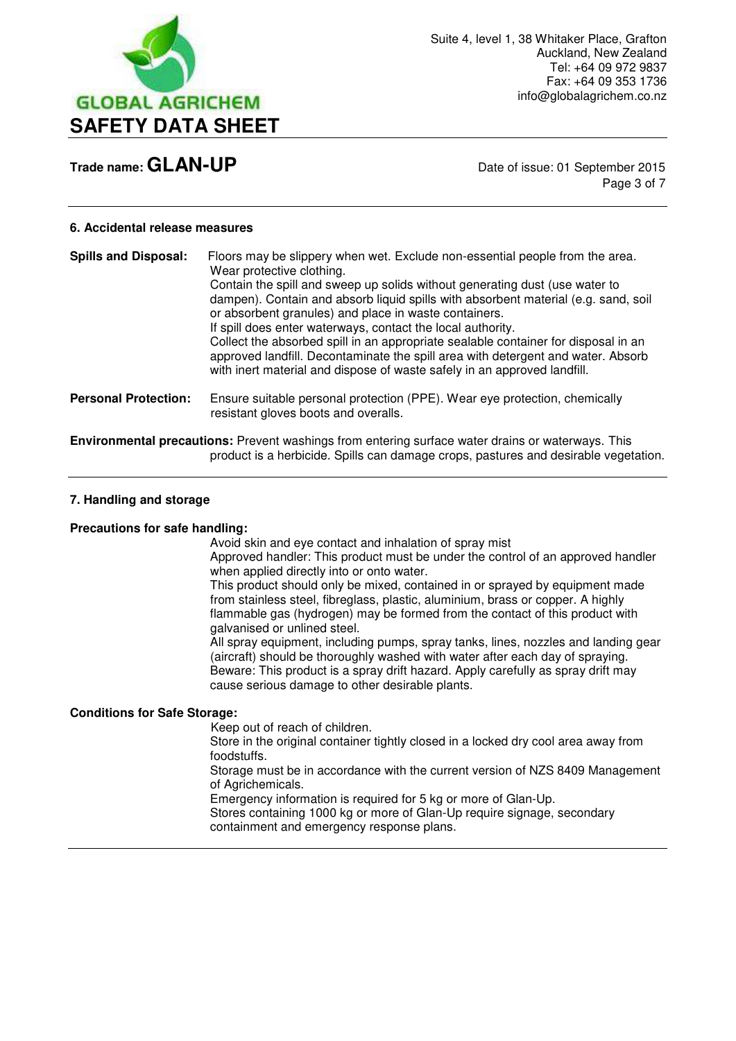

Page 3 of 7

#### **6. Accidental release measures**

| <b>Spills and Disposal:</b> | Floors may be slippery when wet. Exclude non-essential people from the area.<br>Wear protective clothing.<br>Contain the spill and sweep up solids without generating dust (use water to<br>dampen). Contain and absorb liquid spills with absorbent material (e.g. sand, soil<br>or absorbent granules) and place in waste containers.<br>If spill does enter waterways, contact the local authority.<br>Collect the absorbed spill in an appropriate sealable container for disposal in an<br>approved landfill. Decontaminate the spill area with detergent and water. Absorb<br>with inert material and dispose of waste safely in an approved landfill. |
|-----------------------------|--------------------------------------------------------------------------------------------------------------------------------------------------------------------------------------------------------------------------------------------------------------------------------------------------------------------------------------------------------------------------------------------------------------------------------------------------------------------------------------------------------------------------------------------------------------------------------------------------------------------------------------------------------------|
| <b>Personal Protection:</b> | Ensure suitable personal protection (PPE). Wear eye protection, chemically<br>resistant gloves boots and overalls.                                                                                                                                                                                                                                                                                                                                                                                                                                                                                                                                           |
|                             | <b>Environmental precautions:</b> Prevent washings from entering surface water drains or waterways. This<br>product is a herbicide. Spills can damage crops, pastures and desirable vegetation.                                                                                                                                                                                                                                                                                                                                                                                                                                                              |

#### **7. Handling and storage**

#### **Precautions for safe handling:**

Avoid skin and eye contact and inhalation of spray mist

 Approved handler: This product must be under the control of an approved handler when applied directly into or onto water.

This product should only be mixed, contained in or sprayed by equipment made from stainless steel, fibreglass, plastic, aluminium, brass or copper. A highly flammable gas (hydrogen) may be formed from the contact of this product with galvanised or unlined steel.

All spray equipment, including pumps, spray tanks, lines, nozzles and landing gear (aircraft) should be thoroughly washed with water after each day of spraying. Beware: This product is a spray drift hazard. Apply carefully as spray drift may cause serious damage to other desirable plants.

# **Conditions for Safe Storage:**

Keep out of reach of children.

 Store in the original container tightly closed in a locked dry cool area away from foodstuffs.

 Storage must be in accordance with the current version of NZS 8409 Management of Agrichemicals.

Emergency information is required for 5 kg or more of Glan-Up.

 Stores containing 1000 kg or more of Glan-Up require signage, secondary containment and emergency response plans.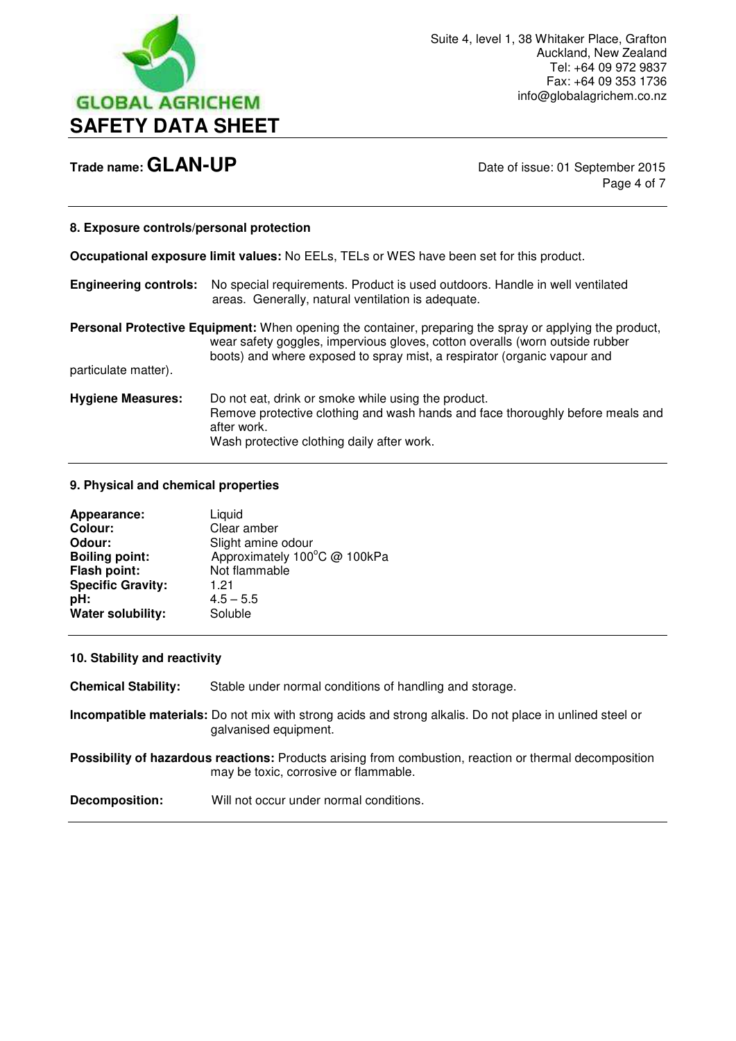

Page 4 of 7

#### **8. Exposure controls/personal protection**

**Occupational exposure limit values:** No EELs, TELs or WES have been set for this product.

| <b>Engineering controls:</b> No special requirements. Product is used outdoors. Handle in well ventilated |
|-----------------------------------------------------------------------------------------------------------|
| areas. Generally, natural ventilation is adequate.                                                        |

**Personal Protective Equipment:** When opening the container, preparing the spray or applying the product, wear safety goggles, impervious gloves, cotton overalls (worn outside rubber boots) and where exposed to spray mist, a respirator (organic vapour and particulate matter).

**Hygiene Measures:** Do not eat, drink or smoke while using the product. Remove protective clothing and wash hands and face thoroughly before meals and after work. Wash protective clothing daily after work.

#### **9. Physical and chemical properties**

| Appearance:              | Liquid                       |
|--------------------------|------------------------------|
| <b>Colour:</b>           | Clear amber                  |
| Odour:                   | Slight amine odour           |
| <b>Boiling point:</b>    | Approximately 100°C @ 100kPa |
| Flash point:             | Not flammable                |
| <b>Specific Gravity:</b> | 1.21                         |
| pH:                      | $4.5 - 5.5$                  |
| Water solubility:        | Soluble                      |
|                          |                              |

#### **10. Stability and reactivity**

**Chemical Stability:** Stable under normal conditions of handling and storage.

**Incompatible materials:** Do not mix with strong acids and strong alkalis. Do not place in unlined steel or galvanised equipment.

**Possibility of hazardous reactions:** Products arising from combustion, reaction or thermal decomposition may be toxic, corrosive or flammable.

**Decomposition:** Will not occur under normal conditions.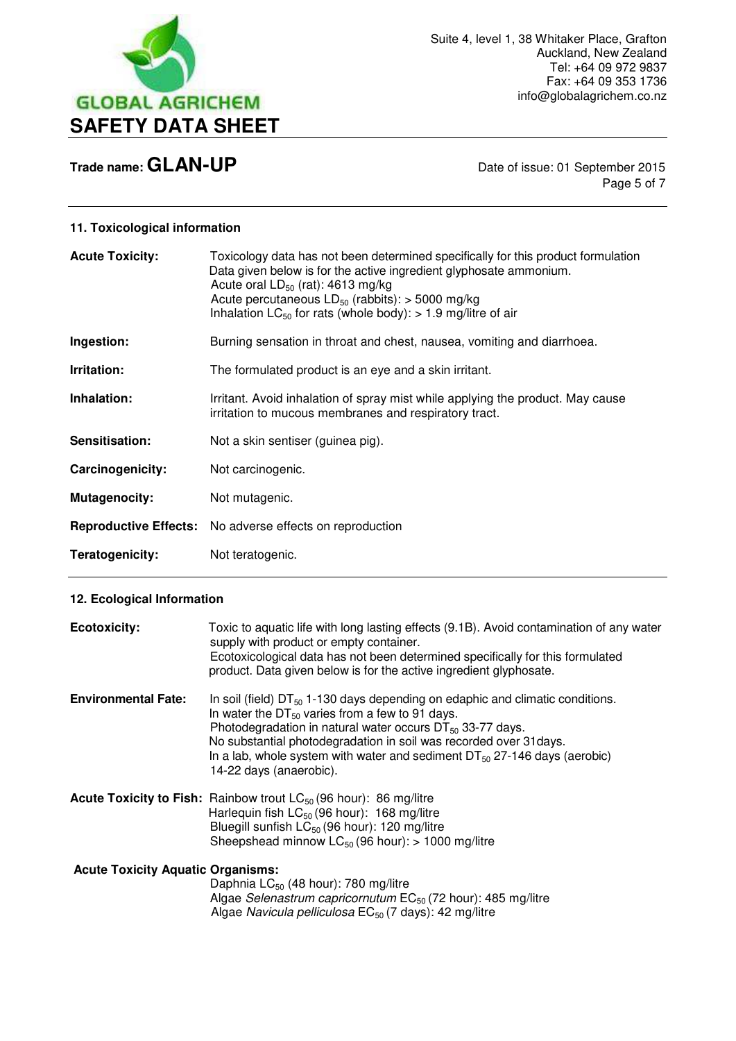

Page 5 of 7

# **11. Toxicological information**

| <b>Acute Toxicity:</b> | Toxicology data has not been determined specifically for this product formulation<br>Data given below is for the active ingredient glyphosate ammonium.<br>Acute oral $LD_{50}$ (rat): 4613 mg/kg<br>Acute percutaneous $LD_{50}$ (rabbits): > 5000 mg/kg<br>Inhalation $LC_{50}$ for rats (whole body): > 1.9 mg/litre of air |
|------------------------|--------------------------------------------------------------------------------------------------------------------------------------------------------------------------------------------------------------------------------------------------------------------------------------------------------------------------------|
| Ingestion:             | Burning sensation in throat and chest, nausea, vomiting and diarrhoea.                                                                                                                                                                                                                                                         |
| Irritation:            | The formulated product is an eye and a skin irritant.                                                                                                                                                                                                                                                                          |
| Inhalation:            | Irritant. Avoid inhalation of spray mist while applying the product. May cause<br>irritation to mucous membranes and respiratory tract.                                                                                                                                                                                        |
| Sensitisation:         | Not a skin sentiser (guinea pig).                                                                                                                                                                                                                                                                                              |
| Carcinogenicity:       | Not carcinogenic.                                                                                                                                                                                                                                                                                                              |
| <b>Mutagenocity:</b>   | Not mutagenic.                                                                                                                                                                                                                                                                                                                 |
|                        | <b>Reproductive Effects:</b> No adverse effects on reproduction                                                                                                                                                                                                                                                                |
| Teratogenicity:        | Not teratogenic.                                                                                                                                                                                                                                                                                                               |

## **12. Ecological Information**

| <b>Ecotoxicity:</b>                      | Toxic to aquatic life with long lasting effects (9.1B). Avoid contamination of any water<br>supply with product or empty container.<br>Ecotoxicological data has not been determined specifically for this formulated<br>product. Data given below is for the active ingredient glyphosate.                                                                                                     |
|------------------------------------------|-------------------------------------------------------------------------------------------------------------------------------------------------------------------------------------------------------------------------------------------------------------------------------------------------------------------------------------------------------------------------------------------------|
| <b>Environmental Fate:</b>               | In soil (field) $DT_{50}$ 1-130 days depending on edaphic and climatic conditions.<br>In water the $DT_{50}$ varies from a few to 91 days.<br>Photodegradation in natural water occurs $DT_{50}$ 33-77 days.<br>No substantial photodegradation in soil was recorded over 31 days.<br>In a lab, whole system with water and sediment $DT_{50}$ 27-146 days (aerobic)<br>14-22 days (anaerobic). |
|                                          | <b>Acute Toxicity to Fish:</b> Rainbow trout $LC_{50}$ (96 hour): 86 mg/litre<br>Harlequin fish $LC_{50}$ (96 hour): 168 mg/litre<br>Bluegill sunfish $LC_{50}$ (96 hour): 120 mg/litre<br>Sheepshead minnow $LC_{50}$ (96 hour): > 1000 mg/litre                                                                                                                                               |
| <b>Acute Toxicity Aquatic Organisms:</b> | Daphnia $LC_{50}$ (48 hour): 780 mg/litre<br>Algae Selenastrum capricornutum EC <sub>50</sub> (72 hour): 485 mg/litre<br>Algae Navicula pelliculosa EC <sub>50</sub> (7 days): 42 mg/litre                                                                                                                                                                                                      |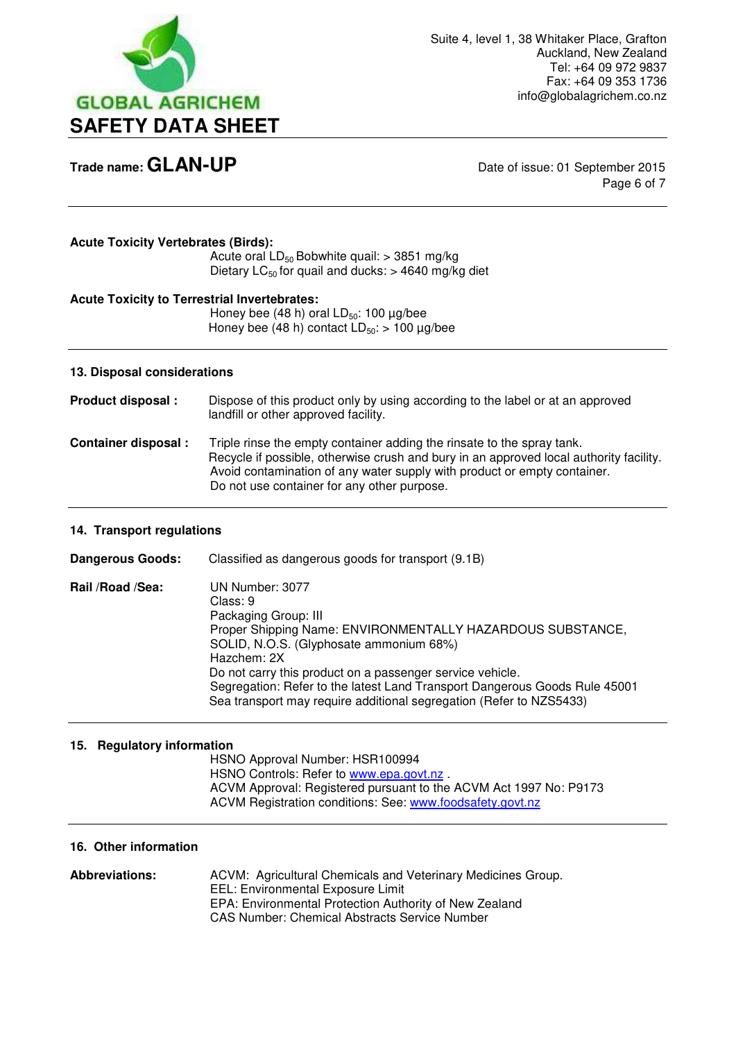

Page 6 of 7

## **Acute Toxicity Vertebrates (Birds):**

Acute oral  $LD_{50}$  Bobwhite quail:  $> 3851$  mg/kg Dietary  $LC_{50}$  for quail and ducks:  $> 4640$  mg/kg diet

## **Acute Toxicity to Terrestrial Invertebrates:**

Honey bee (48 h) oral  $LD_{50}$ : 100  $\mu$ g/bee Honey bee (48 h) contact  $LD_{50}$ : > 100 µg/bee

#### **13. Disposal considerations**

**Product disposal :** Dispose of this product only by using according to the label or at an approved landfill or other approved facility. **Container disposal :** Triple rinse the empty container adding the rinsate to the spray tank. Recycle if possible, otherwise crush and bury in an approved local authority facility. Avoid contamination of any water supply with product or empty container. Do not use container for any other purpose.

## **14. Transport regulations**

**Dangerous Goods:** Classified as dangerous goods for transport (9.1B) **Rail /Road /Sea:** UN Number: 3077 Class: 9 Packaging Group: III Proper Shipping Name: ENVIRONMENTALLY HAZARDOUS SUBSTANCE, SOLID, N.O.S. (Glyphosate ammonium 68%) Hazchem: 2X Do not carry this product on a passenger service vehicle. Segregation: Refer to the latest Land Transport Dangerous Goods Rule 45001 Sea transport may require additional segregation (Refer to NZS5433)

## **15. Regulatory information**

 HSNO Approval Number: HSR100994 HSNO Controls: Refer to [www.epa.govt.nz](http://www.epa.govt.nz/) . ACVM Approval: Registered pursuant to the ACVM Act 1997 No: P9173 ACVM Registration conditions: See: [www.foodsafety.govt.nz](http://www.foodsafety.govt.nz/) 

#### **16. Other information**

**Abbreviations:** ACVM: Agricultural Chemicals and Veterinary Medicines Group. EEL: Environmental Exposure Limit EPA: Environmental Protection Authority of New Zealand CAS Number: Chemical Abstracts Service Number